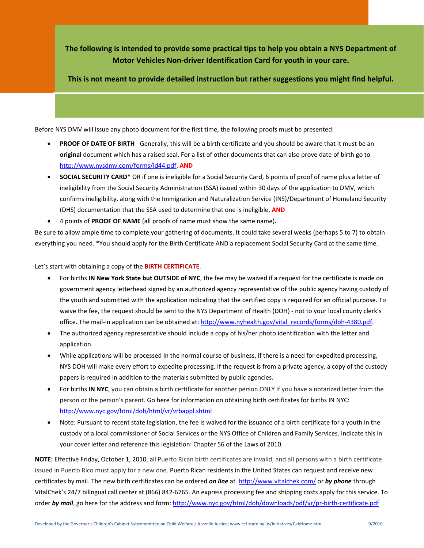**The following is intended to provide some practical tips to help you obtain a NYS Department of Motor Vehicles Non‐driver Identification Card for youth in your care.** 

**This is not meant to provide detailed instruction but rather suggestions you might find helpful.**

Before NYS DMV will issue any photo document for the first time, the following proofs must be presented:

- **PROOF OF DATE OF BIRTH** ‐ Generally, this will be a birth certificate and you should be aware that it must be an **original** document which has a raised seal. For a list of other documents that can also prove date of birth go to http://www.nysdmv.com/forms/id44.pdf, **AND**
- **SOCIAL SECURITY CARD\*** OR if one is ineligible for a Social Security Card, 6 points of proof of name plus a letter of ineligibility from the Social Security Administration (SSA) issued within 30 days of the application to DMV, which confirms ineligibility, along with the Immigration and Naturalization Service (INS)/Department of Homeland Security (DHS) documentation that the SSA used to determine that one is ineligible, **AND**
- 4 points of **PROOF OF NAME** (all proofs of name must show the same name)**.**

Be sure to allow ample time to complete your gathering of documents. It could take several weeks (perhaps 5 to 7) to obtain everything you need. \*You should apply for the Birth Certificate AND a replacement Social Security Card at the same time.

Let's start with obtaining a copy of the **BIRTH CERTIFICATE**.

- For births **IN New York State but OUTSIDE of NYC**, the fee may be waived if a request for the certificate is made on government agency letterhead signed by an authorized agency representative of the public agency having custody of the youth and submitted with the application indicating that the certified copy is required for an official purpose. To waive the fee, the request should be sent to the NYS Department of Health (DOH) - not to your local county clerk's office. The mail-in application can be obtained at: http://www.nyhealth.gov/vital\_records/forms/doh-4380.pdf.
- The authorized agency representative should include a copy of his/her photo identification with the letter and application.
- While applications will be processed in the normal course of business, if there is a need for expedited processing, NYS DOH will make every effort to expedite processing. If the request is from a private agency, a copy of the custody papers is required in addition to the materials submitted by public agencies.
- For births **IN NYC**, you can obtain a birth certificate for another person ONLY if you have a notarized letter from the person or the person's parent. Go here for information on obtaining birth certificates for births IN NYC: http://www.nyc.gov/html/doh/html/vr/vrbappl.shtml
- Note: Pursuant to recent state legislation, the fee is waived for the issuance of a birth certificate for a youth in the custody of a local commissioner of Social Services or the NYS Office of Children and Family Services. Indicate this in your cover letter and reference this legislation: Chapter 56 of the Laws of 2010.

**NOTE:** Effective Friday, October 1, 2010, all Puerto Rican birth certificates are invalid, and all persons with a birth certificate issued in Puerto Rico must apply for a new one. Puerto Rican residents in the United States can request and receive new certificates by mail. The new birth certificates can be ordered *on line* at http://www.vitalchek.com/ or *by phone* through VitalChek's 24/7 bilingual call center at (866) 842‐6765. An express processing fee and shipping costs apply for this service. To order *by mail*, go here for the address and form: http://www.nyc.gov/html/doh/downloads/pdf/vr/pr‐birth‐certificate.pdf